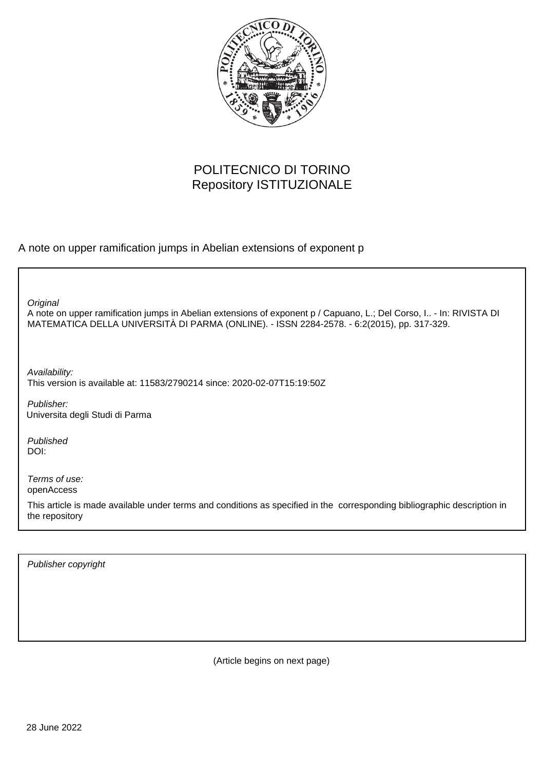

# POLITECNICO DI TORINO Repository ISTITUZIONALE

A note on upper ramification jumps in Abelian extensions of exponent p

**Original** 

A note on upper ramification jumps in Abelian extensions of exponent p / Capuano, L.; Del Corso, I.. - In: RIVISTA DI MATEMATICA DELLA UNIVERSITÀ DI PARMA (ONLINE). - ISSN 2284-2578. - 6:2(2015), pp. 317-329.

Availability: This version is available at: 11583/2790214 since: 2020-02-07T15:19:50Z

Publisher: Universita degli Studi di Parma

Published DOI:

Terms of use: openAccess

This article is made available under terms and conditions as specified in the corresponding bibliographic description in the repository

Publisher copyright

(Article begins on next page)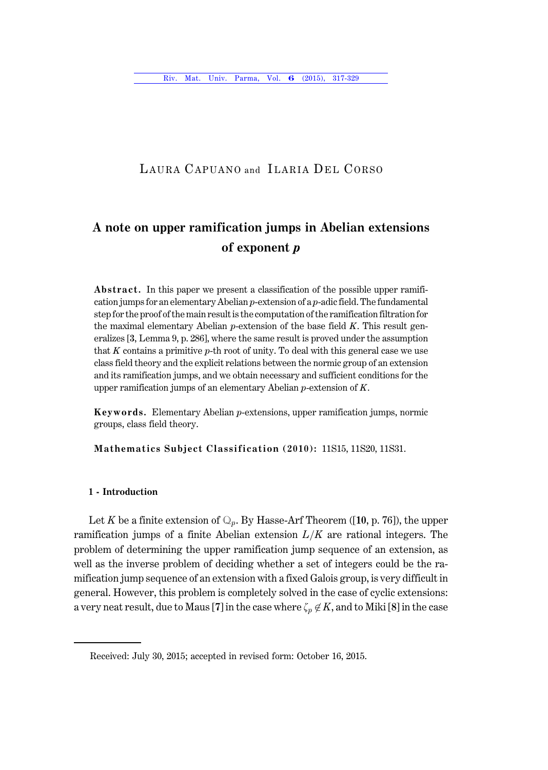### LAURA CAPUANO and ILARIA DEL CORSO

## A note on upper ramification jumps in Abelian extensions of exponent  $p$

**Abstract.** In this paper we present a classification of the possible upper ramification jumps for an elementary Abelian  $p$ -extension of a  $p$ -adic field. The fundamental step for the proof of the main result is the computation of the ramification filtration for the maximal elementary Abelian  $p$ -extension of the base field  $K$ . This result generalizes [3, Lemma 9, p. 286], where the same result is proved under the assumption that K contains a primitive  $p$ -th root of unity. To deal with this general case we use class field theory and the explicit relations between the normic group of an extension and its ramification jumps, and we obtain necessary and sufficient conditions for the upper ramification jumps of an elementary Abelian  $p$ -extension of  $K$ .

Keywords. Elementary Abelian p-extensions, upper ramification jumps, normic groups, class field theory.

Mathematics Subject Classification (2010): 11S15, 11S20, 11S31.

### 1 - Introduction

Let K be a finite extension of  $\mathbb{Q}_p$ . By Hasse-Arf Theorem ([10, p. 76]), the upper ramification jumps of a finite Abelian extension  $L/K$  are rational integers. The problem of determining the upper ramification jump sequence of an extension, as well as the inverse problem of deciding whether a set of integers could be the ramification jump sequence of an extension with a fixed Galois group, is very difficult in general. However, this problem is completely solved in the case of cyclic extensions: a very neat result, due to Maus [7] in the case where  $\zeta_p\not\in K$ , and to Miki [8] in the case

Received: July 30, 2015; accepted in revised form: October 16, 2015.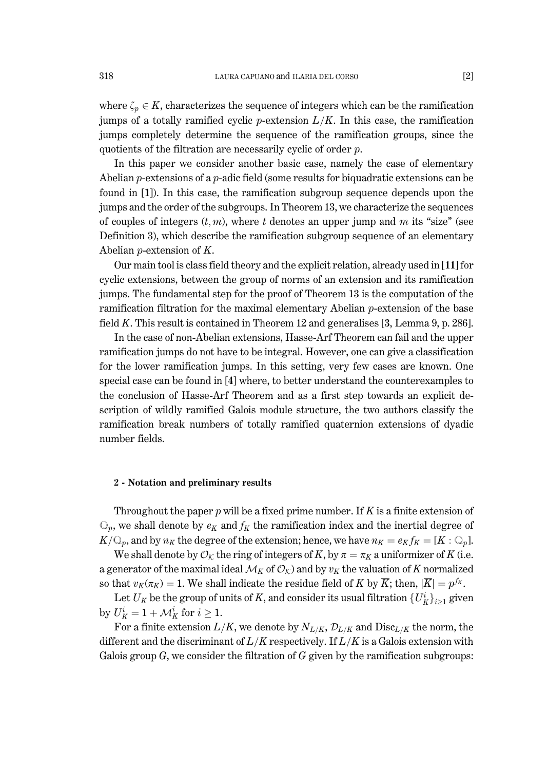where  $\zeta_p \in K$ , characterizes the sequence of integers which can be the ramification jumps of a totally ramified cyclic p-extension  $L/K$ . In this case, the ramification jumps completely determine the sequence of the ramification groups, since the quotients of the filtration are necessarily cyclic of order  $p$ .

In this paper we consider another basic case, namely the case of elementary Abelian *p*-extensions of a *p*-adic field (some results for biquadratic extensions can be found in [1]). In this case, the ramification subgroup sequence depends upon the jumps and the order of the subgroups. In Theorem 13, we characterize the sequences of couples of integers  $(t, m)$ , where t denotes an upper jump and m its "size" (see Definition 3), which describe the ramification subgroup sequence of an elementary Abelian  $p$ -extension of  $K$ .

Our main tool is class field theory and the explicit relation, already used in [11] for cyclic extensions, between the group of norms of an extension and its ramification jumps. The fundamental step for the proof of Theorem 13 is the computation of the ramification filtration for the maximal elementary Abelian  $p$ -extension of the base field K. This result is contained in Theorem 12 and generalises  $[3, \text{Lemma 9}, p. 286]$ .

In the case of non-Abelian extensions, Hasse-Arf Theorem can fail and the upper ramification jumps do not have to be integral. However, one can give a classification for the lower ramification jumps. In this setting, very few cases are known. One special case can be found in [4] where, to better understand the counterexamples to the conclusion of Hasse-Arf Theorem and as a first step towards an explicit description of wildly ramified Galois module structure, the two authors classify the ramification break numbers of totally ramified quaternion extensions of dyadic number fields.

#### 2 - Notation and preliminary results

Throughout the paper  $p$  will be a fixed prime number. If  $K$  is a finite extension of  $\mathbb{Q}_p$ , we shall denote by  $e_K$  and  $f_K$  the ramification index and the inertial degree of  $K/\mathbb{Q}_p$ , and by  $n_K$  the degree of the extension; hence, we have  $n_K = e_K f_K = [K : \mathbb{Q}_p]$ .

We shall denote by  $\mathcal{O}_K$  the ring of integers of K, by  $\pi = \pi_K$  a uniformizer of K (i.e. a generator of the maximal ideal  $\mathcal{M}_K$  of  $\mathcal{O}_K$ ) and by  $v_K$  the valuation of K normalized so that  $v_K(\pi_K) = 1$ . We shall indicate the residue field of K by  $\overline{K}$ ; then,  $|\overline{K}| = p^{f_K}$ .

Let  $U_K$  be the group of units of K, and consider its usual filtration  $\{U_K^i\}_{i>1}$  given by  $U_K^i = 1 + \mathcal{M}_K^i$  for  $i \geq 1$ .

For a finite extension  $L/K$ , we denote by  $N_{L/K}$ ,  $\mathcal{D}_{L/K}$  and  $Disc_{L/K}$  the norm, the different and the discriminant of  $L/K$  respectively. If  $L/K$  is a Galois extension with Galois group  $G$ , we consider the filtration of  $G$  given by the ramification subgroups: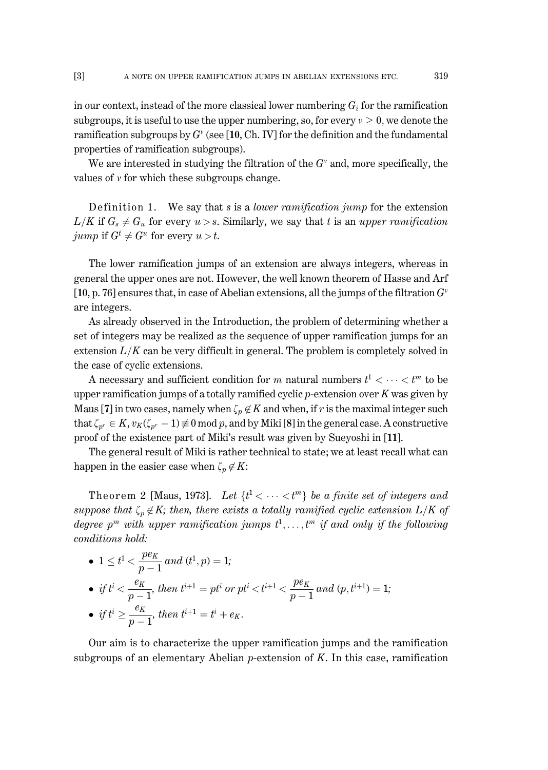319

 $\lceil 3 \rceil$ 

in our context, instead of the more classical lower numbering  $G_i$  for the ramification subgroups, it is useful to use the upper numbering, so, for every  $v > 0$ , we denote the ramification subgroups by  $G^v$  (see [10, Ch, IV] for the definition and the fundamental properties of ramification subgroups).

We are interested in studying the filtration of the  $G<sup>v</sup>$  and, more specifically, the values of  $\nu$  for which these subgroups change.

Definition 1. We say that s is a *lower ramification jump* for the extension  $L/K$  if  $G_s \neq G_u$  for every  $u > s$ . Similarly, we say that t is an upper ramification jump if  $G^t \neq G^u$  for every  $u > t$ .

The lower ramification jumps of an extension are always integers, whereas in general the upper ones are not. However, the well known theorem of Hasse and Arf [10, p. 76] ensures that, in case of Abelian extensions, all the jumps of the filtration  $G^v$ are integers.

As already observed in the Introduction, the problem of determining whether a set of integers may be realized as the sequence of upper ramification jumps for an extension  $L/K$  can be very difficult in general. The problem is completely solved in the case of cyclic extensions.

A necessary and sufficient condition for m natural numbers  $t^1 < \cdots < t^m$  to be upper ramification jumps of a totally ramified cyclic  $p$ -extension over K was given by Maus [7] in two cases, namely when  $\zeta_p \notin K$  and when, if r is the maximal integer such that  $\zeta_{p^r} \in K$ ,  $v_K(\zeta_{p^r} - 1) \neq 0$  mod p, and by Miki [8] in the general case. A constructive proof of the existence part of Miki's result was given by Sueyoshi in [11].

The general result of Miki is rather technical to state; we at least recall what can happen in the easier case when  $\zeta_p \notin K$ :

Theorem 2 [Maus, 1973]. Let  $\{t^1 < \cdots < t^m\}$  be a finite set of integers and suppose that  $\zeta_p \notin K$ ; then, there exists a totally ramified cyclic extension  $L/K$  of degree  $p^m$  with upper ramification jumps  $t^1, \ldots, t^m$  if and only if the following conditions hold:

\n- \n
$$
1 \leq t^1 < \frac{pe_K}{p-1} \text{ and } (t^1, p) = 1;
$$
\n
\n- \n
$$
\text{if } t^i < \frac{e_K}{p-1}, \text{ then } t^{i+1} = pt^i \text{ or } pt^i < t^{i+1} < \frac{pe_K}{p-1} \text{ and } (p, t^{i+1}) = 1;
$$
\n
\n- \n
$$
\text{if } t^i \geq \frac{e_K}{p-1}, \text{ then } t^{i+1} = t^i + e_K.
$$
\n
\n

Our aim is to characterize the upper ramification jumps and the ramification subgroups of an elementary Abelian  $p$ -extension of  $K$ . In this case, ramification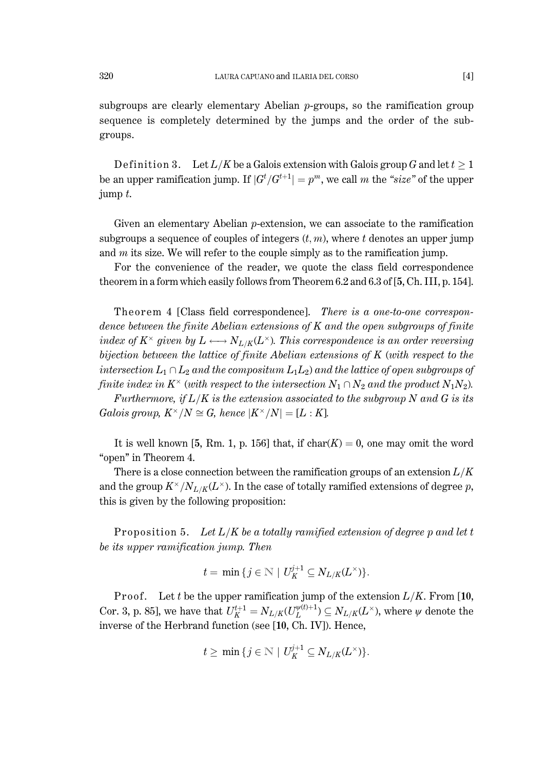subgroups are clearly elementary Abelian  $p$ -groups, so the ramification group sequence is completely determined by the jumps and the order of the subgroups.

Definition 3. Let  $L/K$  be a Galois extension with Galois group G and let  $t \geq 1$ be an upper ramification jump. If  $|G^t/G^{t+1}| = p^m$ , we call m the "size" of the upper jump  $t$ .

Given an elementary Abelian  $p$ -extension, we can associate to the ramification subgroups a sequence of couples of integers  $(t, m)$ , where t denotes an upper jump and  $m$  its size. We will refer to the couple simply as to the ramification jump.

For the convenience of the reader, we quote the class field correspondence theorem in a form which easily follows from Theorem 6.2 and 6.3 of [5, Ch. III, p. 154].

Theorem 4 [Class field correspondence]. There is a one-to-one correspondence between the finite Abelian extensions of  $K$  and the open subgroups of finite index of  $K^{\times}$  given by  $L \longleftrightarrow N_{L/K}(L^{\times})$ . This correspondence is an order reversing bijection between the lattice of finite Abelian extensions of  $K$  (with respect to the intersection  $L_1 \cap L_2$  and the compositum  $L_1L_2$ ) and the lattice of open subgroups of finite index in  $K^{\times}$  (with respect to the intersection  $N_1 \cap N_2$  and the product  $N_1N_2$ ).

Furthermore, if  $L/K$  is the extension associated to the subgroup N and G is its Galois group,  $K^{\times}/N \cong G$ , hence  $|K^{\times}/N| = [L:K]$ .

It is well known [5, Rm, 1, p. 156] that, if  $char(K) = 0$ , one may omit the word "open" in Theorem 4.

There is a close connection between the ramification groups of an extension  $L/K$ and the group  $K^{\times}/N_{L/K}(L^{\times})$ . In the case of totally ramified extensions of degree p, this is given by the following proposition:

Proposition 5. Let  $L/K$  be a totally ramified extension of degree p and let t be its upper ramification jump. Then

$$
t=\min\{j\in\mathbb{N}\mid U_K^{j+1}\subseteq N_{L/K}(L^\times)\}.
$$

Proof. Let t be the upper ramification jump of the extension  $L/K$ . From [10, Cor. 3, p. 85], we have that  $U_K^{t+1} = N_{L/K}(U_L^{\psi(t)+1}) \subseteq N_{L/K}(L^{\times})$ , where  $\psi$  denote the inverse of the Herbrand function (see [10, Ch. IV]). Hence,

$$
t \geq \min\{j \in \mathbb{N} \mid U_K^{j+1} \subseteq N_{L/K}(L^\times)\}.
$$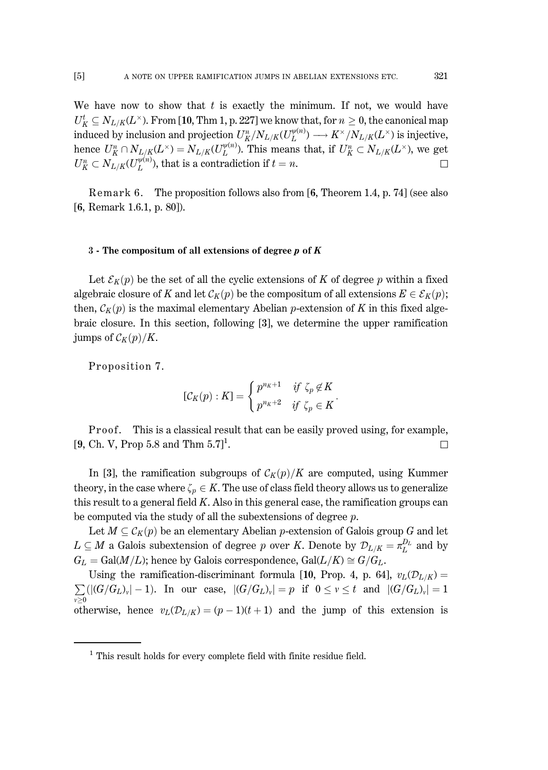321

We have now to show that  $t$  is exactly the minimum. If not, we would have  $U_K^t \subseteq N_{L/K}(L^{\times})$ . From [10, Thm 1, p. 227] we know that, for  $n \geq 0$ , the canonical map induced by inclusion and projection  $U_K^n/N_{L/K}(U_L^{\psi(n)}) \longrightarrow K^\times/N_{L/K}(L^\times)$  is injective, hence  $U_K^n \cap N_{L/K}(L^\times) = N_{L/K}(U_L^{\psi(n)})$ . This means that, if  $U_K^n \subset N_{L/K}(L^\times)$ , we get  $U_K^n \subset N_{L/K}(U_L^{\psi(n)})$ , that is a contradiction if  $t = n$ .  $\Box$ 

Remark 6. The proposition follows also from [6, Theorem 1.4, p. 74] (see also [6, Remark 1.6.1, p. 80]).

#### 3 - The compositum of all extensions of degree  $p$  of  $K$

Let  $\mathcal{E}_K(p)$  be the set of all the cyclic extensions of K of degree p within a fixed algebraic closure of K and let  $\mathcal{C}_K(p)$  be the compositum of all extensions  $E \in \mathcal{E}_K(p)$ ; then,  $\mathcal{C}_K(p)$  is the maximal elementary Abelian p-extension of K in this fixed algebraic closure. In this section, following [3], we determine the upper ramification jumps of  $\mathcal{C}_K(p)/K$ .

Proposition 7.

$$
[\mathcal{C}_K(p):K] = \begin{cases} p^{n_K+1} & \text{if } \zeta_p \notin K \\ p^{n_K+2} & \text{if } \zeta_p \in K \end{cases}
$$

Proof. This is a classical result that can be easily proved using, for example, [9, Ch. V, Prop 5.8 and Thm  $5.7$ ]<sup>1</sup>.  $\Box$ 

In [3], the ramification subgroups of  $C_K(p)/K$  are computed, using Kummer theory, in the case where  $\zeta_p \in K$ . The use of class field theory allows us to generalize this result to a general field  $K$ . Also in this general case, the ramification groups can be computed via the study of all the subextensions of degree  $p$ .

Let  $M \subseteq C_K(p)$  be an elementary Abelian *p*-extension of Galois group G and let  $L \subseteq M$  a Galois subextension of degree p over K. Denote by  $\mathcal{D}_{L/K} = \pi_L^{D_L}$  and by  $G_L = \text{Gal}(M/L)$ ; hence by Galois correspondence,  $\text{Gal}(L/K) \cong G/G_L$ .

Using the ramification-discriminant formula [10, Prop. 4, p. 64],  $v_L(\mathcal{D}_{L/K}) =$  $\sum_{v\geq 0} (|(G/G_L)_v|-1)$ . In our case,  $|(G/G_L)_v|=p$  if  $0 \leq v \leq t$  and  $|(G/G_L)_v|=1$ otherwise, hence  $v_L(\mathcal{D}_{L/K}) = (p-1)(t+1)$  and the jump of this extension is

 $^{\rm 1}$  This result holds for every complete field with finite residue field.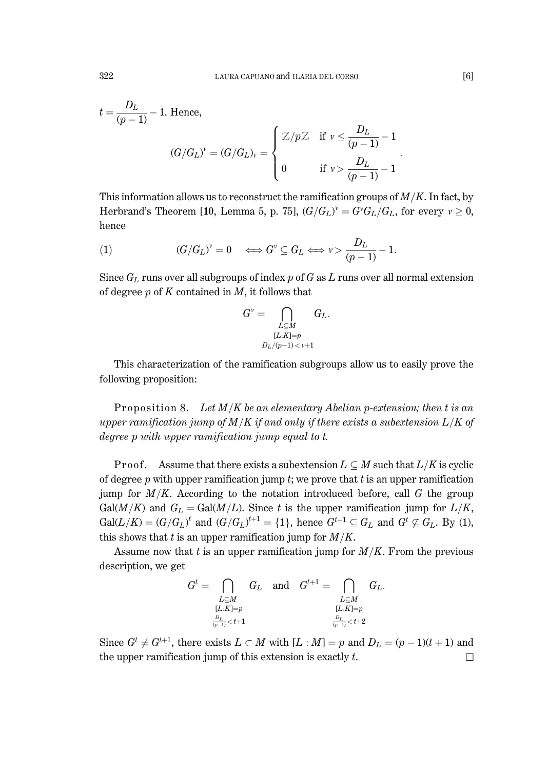$$
t = \frac{D_L}{(p-1)} - 1.
$$
 Hence,  

$$
(G/G_L)^v = (G/G_L)_v = \begin{cases} \mathbb{Z}/p\mathbb{Z} & \text{if } v \leq \frac{D_L}{(p-1)} - 1 \\ 0 & \text{if } v > \frac{D_L}{(p-1)} - 1 \end{cases}
$$

This information allows us to reconstruct the ramification groups of  $M/K$ . In fact, by Herbrand's Theorem [10, Lemma 5, p. 75],  $(G/G_L)^{\nu} = G^{\nu}G_L/G_L$ , for every  $\nu \geq 0$ , hence

(1) 
$$
(G/G_L)^{\nu} = 0 \iff G^{\nu} \subseteq G_L \iff \nu > \frac{D_L}{(p-1)} - 1.
$$

Since  $G_L$  runs over all subgroups of index  $p$  of  $G$  as  $L$  runs over all normal extension of degree  $p$  of K contained in M, it follows that

$$
G^v = \bigcap_{\substack{L \subseteq M \\ [L:K] = p \\ D_L/(p-1) < v+1}} G_L.
$$

This characterization of the ramification subgroups allow us to easily prove the following proposition:

Proposition 8. Let  $M/K$  be an elementary Abelian p-extension; then t is an upper ramification jump of  $M/K$  if and only if there exists a subextension  $L/K$  of degree  $p$  with upper ramification jump equal to  $t$ .

**Proof.** Assume that there exists a subextension  $L \subseteq M$  such that  $L/K$  is cyclic of degree  $p$  with upper ramification jump  $t$ ; we prove that  $t$  is an upper ramification jump for  $M/K$ . According to the notation introduced before, call G the group  $Gal(M/K)$  and  $G_L = Gal(M/L)$ . Since t is the upper ramification jump for  $L/K$ ,  $Gal(L/K) = (G/G_L)^t$  and  $(G/G_L)^{t+1} = \{1\}$ , hence  $G^{t+1} \subseteq G_L$  and  $G^t \nsubseteq G_L$ . By (1), this shows that t is an upper ramification jump for  $M/K$ .

Assume now that  $t$  is an upper ramification jump for  $M/K$ . From the previous description, we get

| $G^t =$                   |                           | $G_L$ and $G^{t+1} =$ |           | $G_L$ |
|---------------------------|---------------------------|-----------------------|-----------|-------|
| L⊂M                       |                           |                       | L⊂M       |       |
| $[L:K]=p$                 |                           |                       | $[L:K]=p$ |       |
| $\frac{D_L}{(p-1)} < t+1$ | $\frac{D_L}{(p-1)} < t+2$ |                       |           |       |

Since  $G^t \neq G^{t+1}$ , there exists  $L \subset M$  with  $[L : M] = p$  and  $D_L = (p-1)(t+1)$  and the upper ramification jump of this extension is exactly  $t$ .  $\Box$ 

322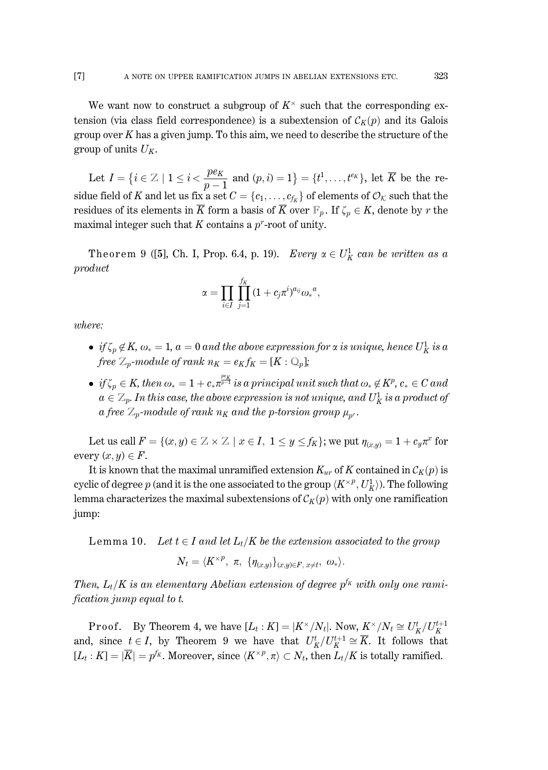We want now to construct a subgroup of  $K^{\times}$  such that the corresponding extension (via class field correspondence) is a subextension of  $\mathcal{C}_K(p)$  and its Galois group over  $K$  has a given jump. To this aim, we need to describe the structure of the group of units  $U_K$ .

Let  $I = \{i \in \mathbb{Z} \mid 1 \leq i < \frac{pe_K}{p-1} \text{ and } (p, i) = 1\} = \{t^1, \dots, t^{e_K}\}\text{, let } \overline{K} \text{ be the re-$ sidue field of K and let us fix a set  $C = \{c_1, \ldots, c_{f_K}\}\$  of elements of  $\mathcal{O}_K$  such that the residues of its elements in  $\overline{K}$  form a basis of  $\overline{K}$  over  $F_p$ . If  $\zeta_p \in K$ , denote by r the maximal integer such that K contains a  $p^r$ -root of unity.

Theorem 9 ([5], Ch. I, Prop. 6.4, p. 19). Every  $\alpha \in U_K^1$  can be written as a  $product$ 

$$
\alpha=\prod_{i\in I}\,\prod_{j=1}^{J_K}\,(1+c_j\pi^i)^{a_{ij}}{\omega_*}^a,
$$

*where:* 

- if  $\zeta_p \notin K$ ,  $\omega_* = 1$ ,  $a = 0$  and the above expression for  $\alpha$  is unique, hence  $U_K^1$  is a free  $\mathbb{Z}_p$ -module of rank  $n_K = e_K f_K = [K : \mathbb{Q}_p]$ ;
- if  $\zeta_p \in K$ , then  $\omega_* = 1 + c_* \overline{x^{p-1}}$  is a principal unit such that  $\omega_* \notin K^p$ ,  $c_* \in C$  and  $a \in \mathbb{Z}_p$ . In this case, the above expression is not unique, and  $U_K^1$  is a product of a free  $\mathbb{Z}_p$ -module of rank  $n_K$  and the p-torsion group  $\mu_{p^r}$ .

Let us call  $F = \{(x, y) \in \mathbb{Z} \times \mathbb{Z} \mid x \in I, 1 \le y \le f_K\}$ ; we put  $\eta_{(x, y)} = 1 + c_y \pi^x$  for every  $(x, y) \in F$ .

It is known that the maximal unramified extension  $K_{ur}$  of K contained in  $\mathcal{C}_K(p)$  is cyclic of degree p (and it is the one associated to the group  $\langle K^{\times p}, U_K^1 \rangle$ ). The following lemma characterizes the maximal subextensions of  $\mathcal{C}_K(p)$  with only one ramification jump:

Lemma 10. Let  $t \in I$  and let  $L_t/K$  be the extension associated to the group

$$
N_t=\langle K^{\times p},\;\pi,\;\{\eta_{(x,y)}\}_{(x,y)\in F,\;x\neq t},\;\omega_*\rangle.
$$

Then,  $L_t/K$  is an elementary Abelian extension of degree  $p^{f_K}$  with only one rami*fication jump equal to t.* 

**Proof.** By Theorem 4, we have  $[L_t : K] = |K^\times/N_t|$ . Now,  $K^\times/N_t \cong U_K^t/U_K^{t+1}$ and, since  $t \in I$ , by Theorem 9 we have that  $U_K^t/U_K^{t+1} \cong \overline{K}$ . It follows that  $[L_t:K] = |\overline{K}| = p^{f_K}$ . Moreover, since  $\langle K^{\times p}, \pi \rangle \subset N_t$ , then  $L_t/K$  is totally ramified.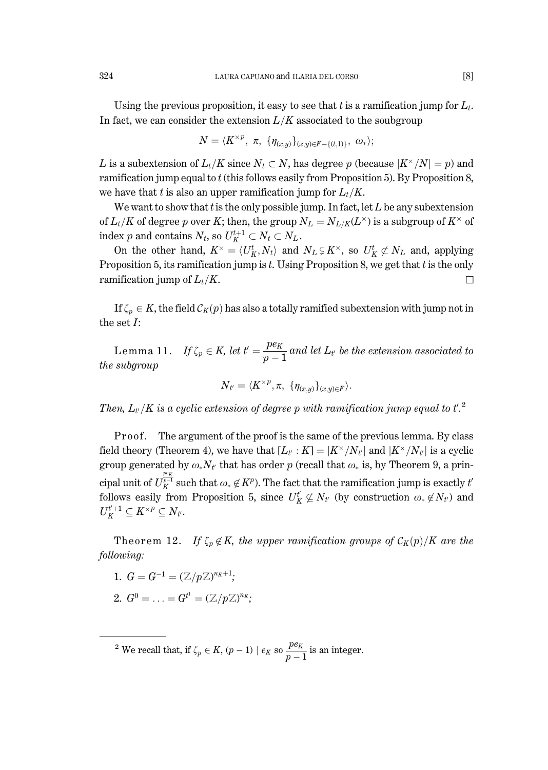Using the previous proposition, it easy to see that t is a ramification jump for  $L_t$ . In fact, we can consider the extension  $L/K$  associated to the soubgroup

$$
N = \langle K^{\times p}, \pi, \{ \eta_{(x,y)} \}_{(x,y) \in F - \{(t,1)\}}, \omega_* \rangle;
$$

L is a subextension of  $L_t/K$  since  $N_t \subset N$ , has degree p (because  $|K^{\times}/N| = p$ ) and ramification jump equal to  $t$  (this follows easily from Proposition 5). By Proposition 8, we have that t is also an upper ramification jump for  $L_t/K$ .

We want to show that  $t$  is the only possible jump. In fact, let  $L$  be any subextension of  $L_t/K$  of degree p over K; then, the group  $N_L = N_{L/K}(L^{\times})$  is a subgroup of  $K^{\times}$  of index p and contains  $N_t$ , so  $U_K^{t+1} \subset N_t \subset N_L$ .

On the other hand,  $K^{\times} = \langle U_K^t, N_t \rangle$  and  $N_L \subsetneq K^{\times}$ , so  $U_K^t \not\subset N_L$  and, applying Proposition 5, its ramification jump is t. Using Proposition 8, we get that t is the only ramification jump of  $L_t/K$ . П

If  $\zeta_p \in K$ , the field  $\mathcal{C}_K(p)$  has also a totally ramified subextension with jump not in the set  $I$ :

Lemma 11. If  $\zeta_p \in K$ , let  $t' = \frac{pe_K}{n-1}$  and let  $L_{t'}$  be the extension associated to the subgroup

$$
N_{t'}=\langle K^{\times p},\pi, \{\eta_{(x,y)}\}_{(x,y)\in F}\rangle.
$$

Then,  $L_{t'}/K$  is a cyclic extension of degree p with ramification jump equal to  $t'^{2}$ .

The argument of the proof is the same of the previous lemma. By class Proof. field theory (Theorem 4), we have that  $[L_{t}: K] = |K^{\times}/N_{t'}|$  and  $|K^{\times}/N_{t'}|$  is a cyclic group generated by  $\omega_* N_{t'}$  that has order p (recall that  $\omega_*$  is, by Theorem 9, a principal unit of  $U_K^{\frac{pe_K}{p-1}}$  such that  $\omega_* \notin K^p$ ). The fact that the ramification jump is exactly t follows easily from Proposition 5, since  $U_K^t \nsubseteq N_t$  (by construction  $\omega_* \notin N_t$ ) and  $U_K^{t'+1} \subseteq K^{\times p} \subseteq N_{t'}.$ 

Theorem 12. If  $\zeta_p \notin K$ , the upper ramification groups of  $\mathcal{C}_K(p)/K$  are the following:

- 1.  $G = G^{-1} = (\mathbb{Z}/p\mathbb{Z})^{n_K+1};$
- 2.  $G^0 = \ldots = G^{t^1} = (\mathbb{Z}/p\mathbb{Z})^{n_K}$ ;

<sup>2</sup> We recall that, if  $\zeta_p \in K$ ,  $(p-1) | e_K$  so  $\frac{pe_K}{p-1}$  is an integer.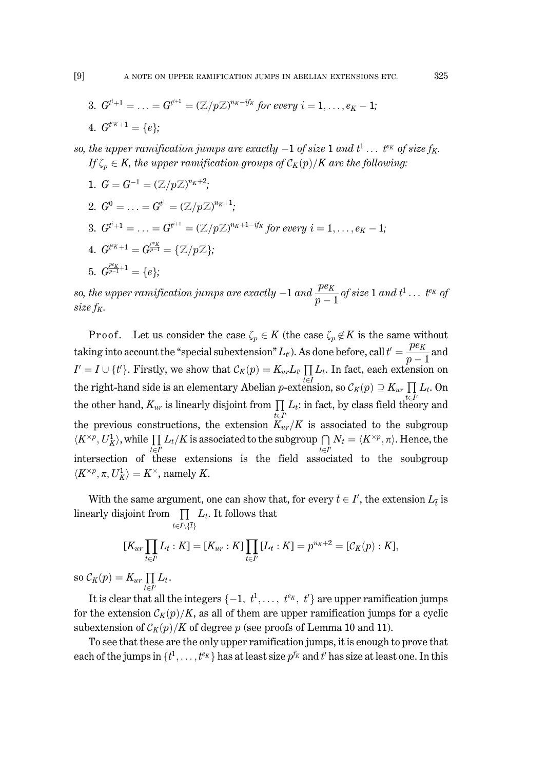325

\n- 3. 
$$
G^{t^{i+1}} = \ldots = G^{t^{i+1}} = (\mathbb{Z}/p\mathbb{Z})^{n_K - if_K}
$$
 for every  $i = 1, \ldots, e_K - 1$ ;
\n- 4.  $G^{t^{k}K+1} = \{e\};$
\n

so, the upper ramification jumps are exactly  $-1$  of size 1 and  $t^1 \dots t^{e_K}$  of size  $f_K$ . If  $\zeta_p \in K$ , the upper ramification groups of  $\mathcal{C}_K(p)/K$  are the following:

- 1.  $G = G^{-1} = (\mathbb{Z}/n\mathbb{Z})^{n_K+2}$ .
- 2.  $G^0 = \ldots = G^{t^1} = (\mathbb{Z}/p\mathbb{Z})^{n_K+1}$ .
- 3.  $G^{t^{i+1}} = \ldots = G^{t^{i+1}} = (\mathbb{Z}/p\mathbb{Z})^{n_K+1-i f_K}$  for every  $i = 1, \ldots, e_K 1$ ;

4. 
$$
G^{t^eK+1} = G^{\frac{pe_K}{p-1}} = \{\mathbb{Z}/p\mathbb{Z}\}\
$$

5.  $G_{p-1}^{\frac{pe_K}{p-1}+1} = \{e\}$ .

so, the upper ramification jumps are exactly  $-1$  and  $\frac{pe_K}{n-1}$  of size 1 and  $t^1 \dots t^{e_K}$  of size  $f_K$ .

Proof. Let us consider the case  $\zeta_p \in K$  (the case  $\zeta_p \notin K$  is the same without taking into account the "special subextension"  $L_v$ ). As done before, call  $t' = \frac{pe_K}{p-1}$  and  $I' = I \cup \{t'\}$ . Firstly, we show that  $\mathcal{C}_K(p) = K_{ur} L_{t'} \prod_{i \in I} L_i$ . In fact, each extension on the right-hand side is an elementary Abelian p-extension, so  $\mathcal{C}_K(p) \supseteq K_{ur} \prod L_t$ . On the other hand,  $K_{ur}$  is linearly disjoint from  $\prod L_i$ : in fact, by class field theory and the previous constructions, the extension  $K_{ur}/K$  is associated to the subgroup  $\langle K^{\times p}, U_K^1 \rangle$ , while  $\prod L_t/K$  is associated to the subgroup  $\bigcap N_t = \langle K^{\times p}, \pi \rangle$ . Hence, the intersection of these extensions is the field associated to the soubgroup  $\langle K^{\times p}, \pi, U_K^1 \rangle = K^{\times}$ , namely K.

With the same argument, one can show that, for every  $\overline{t} \in I'$ , the extension  $L_{\overline{t}}$  is linearly disjoint from  $\prod L_t$ . It follows that  $t \in I \setminus \{t\}$ 

$$
[K_{ur} \prod_{t \in I'} L_t : K] = [K_{ur} : K] \prod_{t \in I'} [L_t : K] = p^{n_K + 2} = [\mathcal{C}_K(p) : K],
$$

so  $\mathcal{C}_K(p) = K_{ur} \prod_{t \in I'} L_t$ .

It is clear that all the integers  $\{-1, t^1, \ldots, t^{\ell_K}, t'\}$  are upper ramification jumps for the extension  $C_K(p)/K$ , as all of them are upper ramification jumps for a cyclic subextension of  $\mathcal{C}_K(p)/K$  of degree p (see proofs of Lemma 10 and 11).

To see that these are the only upper ramification jumps, it is enough to prove that each of the jumps in  $\{t^1, \ldots, t^{e_K}\}$  has at least size  $p^{f_K}$  and  $t'$  has size at least one. In this

$$
^{[9]}
$$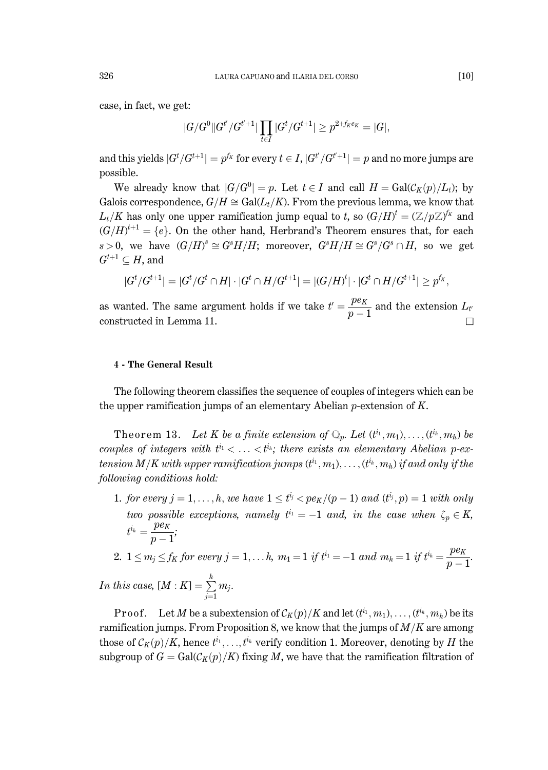case, in fact, we get:

$$
|G/G^0||G^{t'}/G^{t'+1}|\prod_{t\in I}|G^t/G^{t+1}|\geq p^{2+f_Ke_K}=|G|,
$$

and this yields  $|G^t/G^{t+1}| = p^{f_K}$  for every  $t \in I$ ,  $|G^{t'}/G^{t'+1}| = p$  and no more jumps are possible.

We already know that  $|G/G^0| = p$ . Let  $t \in I$  and call  $H = \text{Gal}(\mathcal{C}_K(p)/L_t)$ ; by Galois correspondence,  $G/H \cong Gal(L_t/K)$ . From the previous lemma, we know that  $L_t/K$  has only one upper ramification jump equal to t, so  $(G/H)^t = (\mathbb{Z}/p\mathbb{Z})^{f_K}$  and  $(G/H)^{t+1} = \{e\}$ . On the other hand, Herbrand's Theorem ensures that, for each  $s>0$ , we have  $(G/H)^s \cong G^sH/H$ ; moreover,  $G^sH/H \cong G^s/G^s \cap H$ , so we get  $G^{t+1} \subset H$ , and

$$
G^t/G^{t+1}| = |G^t/G^t \cap H| \cdot |G^t \cap H/G^{t+1}| = |(G/H)^t| \cdot |G^t \cap H/G^{t+1}| \ge p^{f_K},
$$

as wanted. The same argument holds if we take  $t' = \frac{pe_K}{n-1}$  and the extension  $L_t$ constructed in Lemma 11.

#### **4 - The General Result**

The following theorem classifies the sequence of couples of integers which can be the upper ramification jumps of an elementary Abelian  $p$ -extension of  $K$ .

Theorem 13. Let K be a finite extension of  $\mathbb{Q}_p$ . Let  $(t^{i_1}, m_1), \ldots, (t^{i_h}, m_h)$  be couples of integers with  $t^{i_1} < \ldots < t^{i_k}$ ; there exists an elementary Abelian p-extension M/K with upper ramification jumps  $(t^{i_1}, m_1), \ldots, (t^{i_h}, m_h)$  if and only if the following conditions hold:

1. for every  $j = 1, ..., h$ , we have  $1 \leq t^{i_j} < pe_K/(p-1)$  and  $(t^{i_j}, p) = 1$  with only two possible exceptions, namely  $t^{i_1} = -1$  and, in the case when  $\zeta_p \in K$ ,  $t^{i_h} = \frac{pe_K}{p-1};$ 

$$
2. \ \ 1 \leq m_j \leq f_K \ for \ every \ j=1, \ldots h, \ m_1 = 1 \ \ if \ t^{i_1} = -1 \ and \ m_h = 1 \ \ if \ t^{i_h} = \frac{pe_K}{p-1}.
$$

In this case,  $[M:K] = \sum_{i=1}^{h} m_i$ .

**Proof.** Let M be a subextension of  $\mathcal{C}_K(p)/K$  and let  $(t^{i_1}, m_1), \ldots, (t^{i_h}, m_h)$  be its ramification jumps. From Proposition 8, we know that the jumps of  $M/K$  are among those of  $\mathcal{C}_K(p)/K$ , hence  $t^{i_1}, \ldots, t^{i_h}$  verify condition 1. Moreover, denoting by H the subgroup of  $G = \text{Gal}(\mathcal{C}_K(p)/K)$  fixing M, we have that the ramification filtration of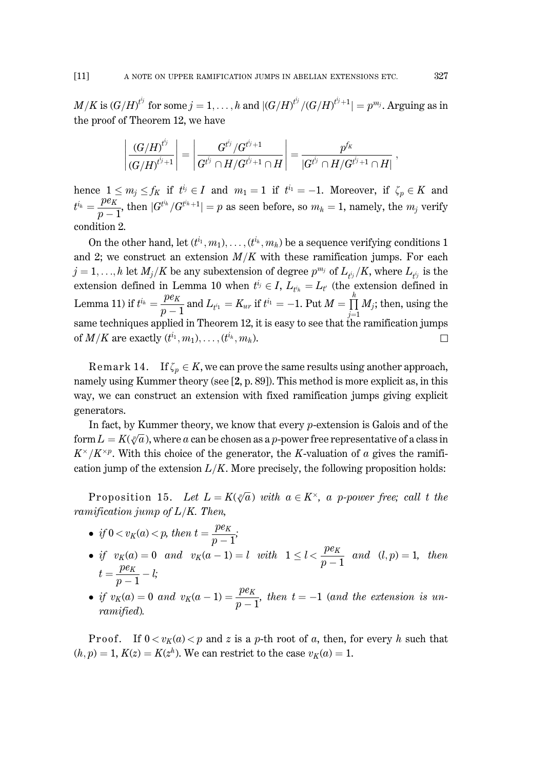#### $[11]$ A NOTE ON UPPER RAMIFICATION JUMPS IN ABELIAN EXTENSIONS ETC.

 $M/K$  is  $(G/H)^{t^{i_j}}$  for some  $i = 1, \ldots, h$  and  $|(G/H)^{t^{i_j}}/(G/H)^{t^{i_{j+1}}}| = p^{m_j}$ . Arguing as in the proof of Theorem 12, we have

$$
\left| \frac{(G/H)^{t^{i_j}}}{(G/H)^{t^{i_j}+1}} \right| = \left| \frac{G^{t^{i_j}}/G^{t^{i_j}+1}}{G^{t^{i_j}} \cap H/G^{t^{i_j}+1} \cap H} \right| = \frac{p^{f_K}}{|G^{t^{i_j}} \cap H/G^{t^{i_j}+1} \cap H|}
$$

hence  $1 \le m_j \le f_K$  if  $t^{i_j} \in I$  and  $m_1 = 1$  if  $t^{i_1} = -1$ . Moreover, if  $\zeta_p \in K$  and  $t^{i_h} = \frac{pe_K}{n-1}$ , then  $|G^{t^{i_h}}/G^{t^{i_h}+1}| = p$  as seen before, so  $m_h = 1$ , namely, the  $m_j$  verify condition 2.

On the other hand, let  $(t^{i_1}, m_1), \ldots, (t^{i_k}, m_h)$  be a sequence verifying conditions 1 and 2; we construct an extension  $M/K$  with these ramification jumps. For each  $j = 1, ..., h$  let  $M_j/K$  be any subextension of degree  $p^{m_j}$  of  $L_{i,j}/K$ , where  $L_{i,j}$  is the extension defined in Lemma 10 when  $t^{i_j} \in I$ ,  $L_{t^{i_k}} = L_{t'}$  (the extension defined in Lemma 11) if  $t^{i_h} = \frac{pe_K}{p-1}$  and  $L_{t^{i_1}} = K_{ur}$  if  $t^{i_1} = -1$ . Put  $M = \prod_{i=1}^{h} M_i$ ; then, using the same techniques applied in Theorem 12, it is easy to see that the ramification jumps of  $M/K$  are exactly  $(t^{i_1}, m_1), \ldots, (t^{i_h}, m_h)$ .  $\Box$ 

Remark 14. If  $\zeta_n \in K$ , we can prove the same results using another approach, namely using Kummer theory (see  $[2, p. 89]$ ). This method is more explicit as, in this way, we can construct an extension with fixed ramification jumps giving explicit generators.

In fact, by Kummer theory, we know that every  $p$ -extension is Galois and of the form  $L = K(\sqrt[p]{a})$ , where a can be chosen as a p-power free representative of a class in  $K^{\times}/K^{\times p}$ . With this choice of the generator, the K-valuation of a gives the ramification jump of the extension  $L/K$ . More precisely, the following proposition holds:

Proposition 15. Let  $L = K(\sqrt[p]{a})$  with  $a \in K^{\times}$ , a p-power free; call t the ramification jump of  $L/K$ . Then,

- if  $0 < v_K(a) < p$ , then  $t = \frac{pe_K}{p-1}$ ;
- if  $v_K(a) = 0$  and  $v_K(a-1) = l$  with  $1 \leq l < \frac{pe_K}{p-1}$  and  $(l, p) = 1$ , then  $t=\frac{pe_K}{n-1}-l;$
- if  $v_K(a) = 0$  and  $v_K(a-1) = \frac{pe_K}{n-1}$ , then  $t = -1$  (and the extension is unramified).

Proof. If  $0 < v_K(a) < p$  and z is a p-th root of a, then, for every h such that  $(h, p) = 1, K(z) = K(z^h)$ . We can restrict to the case  $v_K(a) = 1$ .

327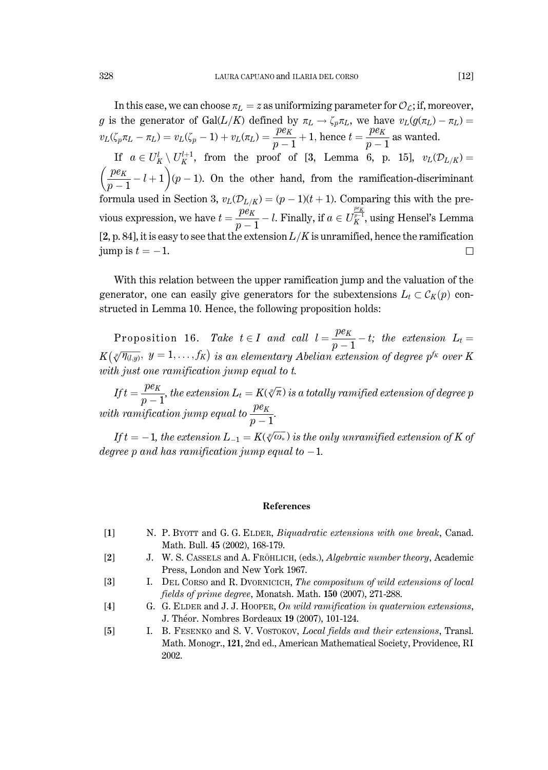In this case, we can choose  $\pi_L = z$  as uniformizing parameter for  $\mathcal{O}_L$ ; if, moreover, g is the generator of Gal $(L/K)$  defined by  $\pi_L \to \zeta_p \pi_L$ , we have  $v_L(g(\pi_L) - \pi_L) =$  $v_L(\zeta_p \pi_L - \pi_L) = v_L(\zeta_p - 1) + v_L(\pi_L) = \frac{pe_K}{p-1} + 1$ , hence  $t = \frac{pe_K}{p-1}$  as wanted. If  $a \in U_K^l \setminus U_K^{l+1}$ , from the proof of [3, Lemma 6, p. 15],  $v_L(\mathcal{D}_{L/K}) =$  $\left(\frac{pe_K}{n-1}-l+1\right)(p-1)$ . On the other hand, from the ramification-discriminant formula used in Section 3,  $v_L(\mathcal{D}_{L/K}) = (p-1)(t+1)$ . Comparing this with the previous expression, we have  $t = \frac{pe_K}{p-1} - l$ . Finally, if  $a \in U_K^{\frac{pe_K}{p-1}}$ , using Hensel's Lemma [2, p. 84], it is easy to see that the extension  $L/K$  is unramified, hence the ramification jump is  $t = -1$ .  $\Box$ 

With this relation between the upper ramification jump and the valuation of the generator, one can easily give generators for the subextensions  $L_t \subset \mathcal{C}_K(p)$  constructed in Lemma 10. Hence, the following proposition holds:

Proposition 16. Take  $t \in I$  and call  $l = \frac{pe_K}{p-1} - t$ ; the extension  $L_t =$  $K(\sqrt[p]{\eta_{(l,y)}}, y = 1, \ldots, f_K)$  is an elementary Abelian extension of degree  $p^{f_K}$  over K with just one ramification jump equal to  $t$ .

If  $t = \frac{pe_K}{n-1}$ , the extension  $L_t = K(\sqrt[p]{\pi})$  is a totally ramified extension of degree p with ramification jump equal to  $\frac{pe_K}{p-1}$ .

If  $t = -1$ , the extension  $L_{-1} = K(\sqrt[p]{\omega_*})$  is the only unramified extension of K of degree p and has ramification jump equal to  $-1$ .

#### **References**

- $\lceil 1 \rceil$ N. P. BYOTT and G. G. ELDER, Biquadratic extensions with one break, Canad. Math. Bull. 45 (2002), 168-179.
- $\lceil 2 \rceil$ J. W. S. CASSELS and A. FRÖHLICH, (eds.), Algebraic number theory, Academic Press, London and New York 1967.
- $\lceil 3 \rceil$ I. DEL CORSO and R. DVORNICICH, The compositum of wild extensions of local fields of prime degree, Monatsh. Math. 150 (2007), 271-288.
- $[4]$ G. G. ELDER and J. J. HOOPER, On wild ramification in quaternion extensions, J. Théor. Nombres Bordeaux 19 (2007), 101-124.
- $[5]$ I. B. FESENKO and S. V. VOSTOKOV. Local fields and their extensions. Transl. Math. Monogr., 121, 2nd ed., American Mathematical Society, Providence, RI 2002.